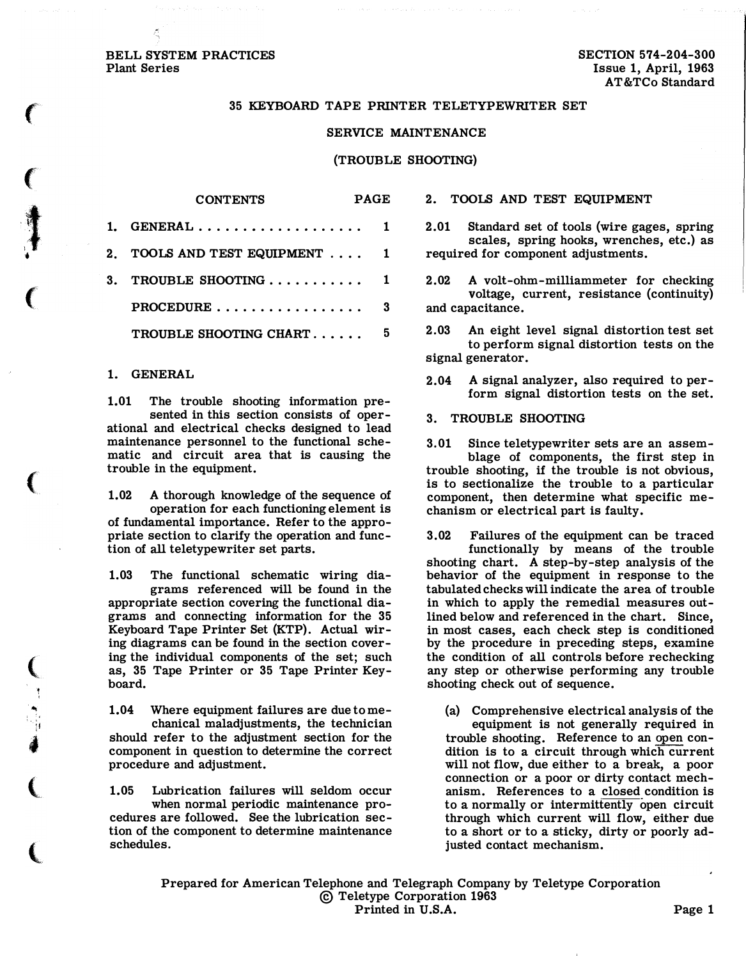## BELL SYSTEM PRACTICES Plant Series

 $\big($ 

 $\left($ 

 $\ddagger$ 

 $\bullet$ 

(

 $\big($ 

 $\big($ 

.. :I 4

 $\overline{\mathbb{C}}$ 

l

#### 35 KEYBOARD TAPE PRINTER TELETYPEWRITER SET

### SERVICE MAINTENANCE

### (TROUBLE SHOOTING)

| 1. GENERAL                                          |    |
|-----------------------------------------------------|----|
| 2. TOOLS AND TEST EQUIPMENT  1                      |    |
| 3. TROUBLE SHOOTING $\ldots \ldots \ldots \ldots$ 1 |    |
| PROCEDURE                                           |    |
| TROUBLE SHOOTING CHART                              | 5. |

CONTENTS PAGE

#### 1. GENERAL

1.01 The trouble shooting information presented in this section consists of operational and electrical checks designed to lead maintenance personnel to the functional schematic and circuit area that is causing the trouble in the equipment.

1.02 A thorough knowledge of the sequence of operation for each functioning element is of fundamental importance. Refer to the appropriate section to clarify the operation and function of all teletypewriter set parts.

1.03 The functional schematic wiring diagrams referenced will be found in the appropriate section covering the functional diagrams and connecting information for the 35 Keyboard Tape Printer Set (KTP). Actual wiring diagrams can be found in the section covering the individual components of the set; such as, 35 Tape Printer or 35 Tape Printer Keyboard.

1.04 Where equipment failures are due to mechanical maladjustments, the technician should refer to the adjustment section for the component in question to determine the correct procedure and adjustment.

1. 05 Lubrication failures will seldom occur when normal periodic maintenance procedures are followed. See the lubrication section of the component to determine maintenance schedules.

#### 2. TOOLS AND TEST EQUIPMENT

- 2.01 Standard set of tools (wire gages, spring scales, spring hooks, wrenches, etc.) as required for component adjustments.
- 2.02 A volt-ohm-milliammeter for checking voltage, current, resistance (continuity) and capacitance.
- 2. 03 An eight level signal distortion test set to perform signal distortion tests on the signal generator.
- 2.04 A signal analyzer, also required to perform signal distortion tests on the set.
- 3. TROUBLE SHOOTING
- 3.01 Since teletypewriter sets are an assemblage of components, the first step in trouble shooting, if the trouble is not obvious, is to sectionalize the trouble to a particular component, then determine what specific mechanism or electrical part is faulty.

3. 02 Failures of the equipment can be traced functionally by means of the trouble shooting chart. A step-by-step analysis of the behavior of the equipment in response to the tabulated checks will indicate the area of trouble in which to apply the remedial measures outlined below and referenced in the chart. Since, in most cases, each check step is conditioned by the procedure in preceding steps, examine the condition of all controls before rechecking any step or otherwise performing any trouble shooting check out of sequence.

(a) Comprehensive electrical analysis of the equipment is not generally required in trouble shooting. Reference to an open condition is to a circuit through which current will not flow, due either to a break, a poor connection or a poor or dirty contact mechanism. References to a closed condition is to a normally or intermittently open circuit through which current will flow, either due to a short or to a sticky, dirty or poorly adjusted contact mechanism.

Prepared for American Telephone and Telegraph Company by Teletype Corporation ©Teletype Corporation 1963 Printed in U.S.A. Page 1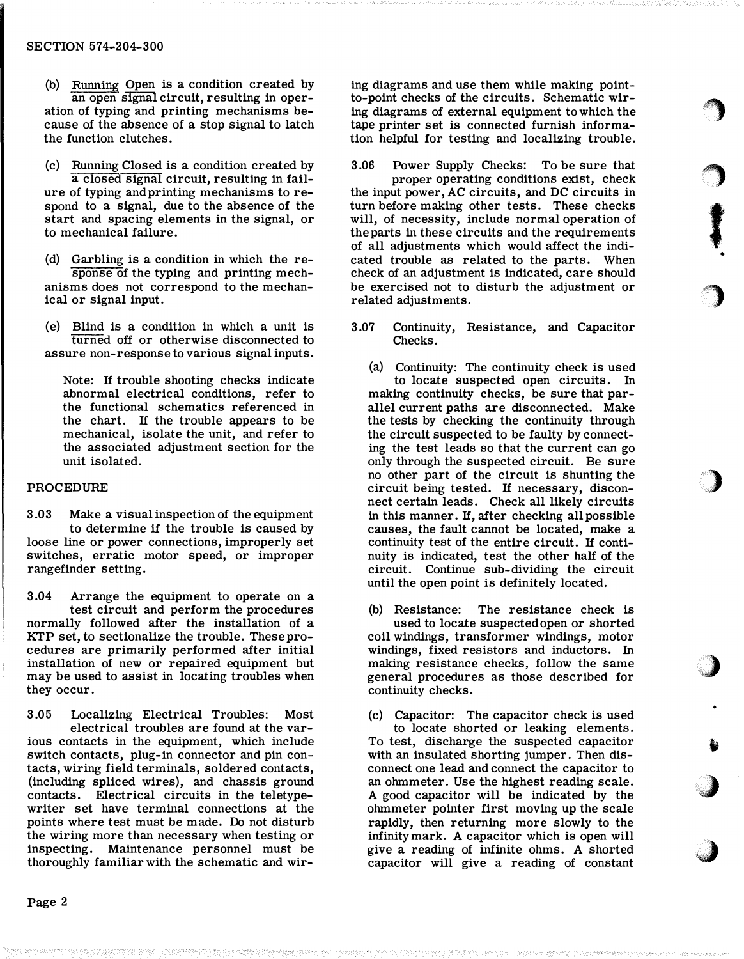- (b) Running Open is a condition created by an open signal circuit, resulting in operation of typing and printing mechanisms because of the absence of a stop signal to latch the function clutches.
- (c) Running Closed is a condition created by a closed signal circuit, resulting in failure of typing and printing mechanisms to respond to a signal, due to the absence of the start and spacing elements in the signal, or to mechanical failure.
- (d) Garbling is a condition in which the response of the typing and printing mechanisms does not correspond to the mechanical or signal input.
- (e) Blind is a condition in which a unit is turned off or otherwise disconnected to assure non-response to various signal inputs.

Note: If trouble shooting checks indicate abnormal electrical conditions, refer to the functional schematics referenced in the chart. If the trouble appears to be mechanical, isolate the unit, and refer to the associated adjustment section for the unit isolated.

# PROCEDURE

- 3.03 Make a visual inspection of the equipment to determine if the trouble is caused by loose line or power connections, improperly set switches, erratic motor speed, or improper rangefinder setting.
- 3.04 Arrange the equipment to operate on a test circuit and perform the procedures normally followed after the installation of a KTP set, to sectionalize the trouble. These procedures are primarily performed after initial installation of new or repaired equipment but may be used to assist in locating troubles when they occur.

3.05 Localizing Electrical Troubles: Most electrical troubles are found at the various contacts in the equipment, which include switch contacts, plug-in connector and pin contacts, wiring field terminals, soldered contacts, (including spliced wires), and chassis ground contacts. Electrical circuits in the teletypewriter set have terminal connections at the points where test must be made. Do not disturb the wiring more than necessary when testing or inspecting. Maintenance personnel must be thoroughly familiar with the schematic and wir-

ing diagrams and use them while making pointto-point checks of the circuits. Schematic wiring diagrams of external equipment to which the tape printer set is connected furnish information helpful for testing and localizing trouble.

 $\bigcirc$ 

 $\bigcirc$ 

f

•

**。")** 

)

 $\bigcup$ 

 $\ddot{\bullet}$ 

;)

 $\bullet$ 

3.06 Power Supply Checks: To be sure that

proper operating conditions exist, check the input power, AC circuits, and DC circuits in turn before making other tests. These checks will, of necessity, include normal operation of the parts in these circuits and the requirements of all adjustments which would affect the indicated trouble as related to the parts. When check of an adjustment is indicated, care should be exercised not to disturb the adjustment or related adjustments.

3.07 Continuity, Resistance, and Capacitor Checks.

(a) Continuity: The continuity check is used to locate suspected open circuits. In making continuity checks, be sure that parallel current paths are disconnected. Make the tests by checking the continuity through the circuit suspected to be faulty by connecting the test leads so that the current can go only through the suspected circuit. Be sure no other part of the circuit is shunting the circuit being tested. If necessary, disconnect certain leads. Check all likely circuits in this manner. If, after checking all possible causes, the fault cannot be located, make a continuity test of the entire circuit. If continuity is indicated, test the other half of the circuit. Continue sub-dividing the circuit until the open point is definitely located.

(b) Resistance: The resistance check is used to locate suspected open or shorted coil windings, transformer windings, motor windings, fixed resistors and inductors. In making resistance checks, follow the same general procedures as those described for continuity checks.

(c) Capacitor: The capacitor check is used

to locate shorted or leaking elements. To test, discharge the suspected capacitor with an insulated shorting jumper. Then disconnect one lead and connect the capacitor to an ohmmeter. Use the highest reading scale. A good capacitor will be indicated by the ohmmeter pointer first moving up the scale rapidly, then returning more slowly to the infinity mark. A capacitor which is open will give a reading of infinite ohms. A shorted capacitor will give a reading of constant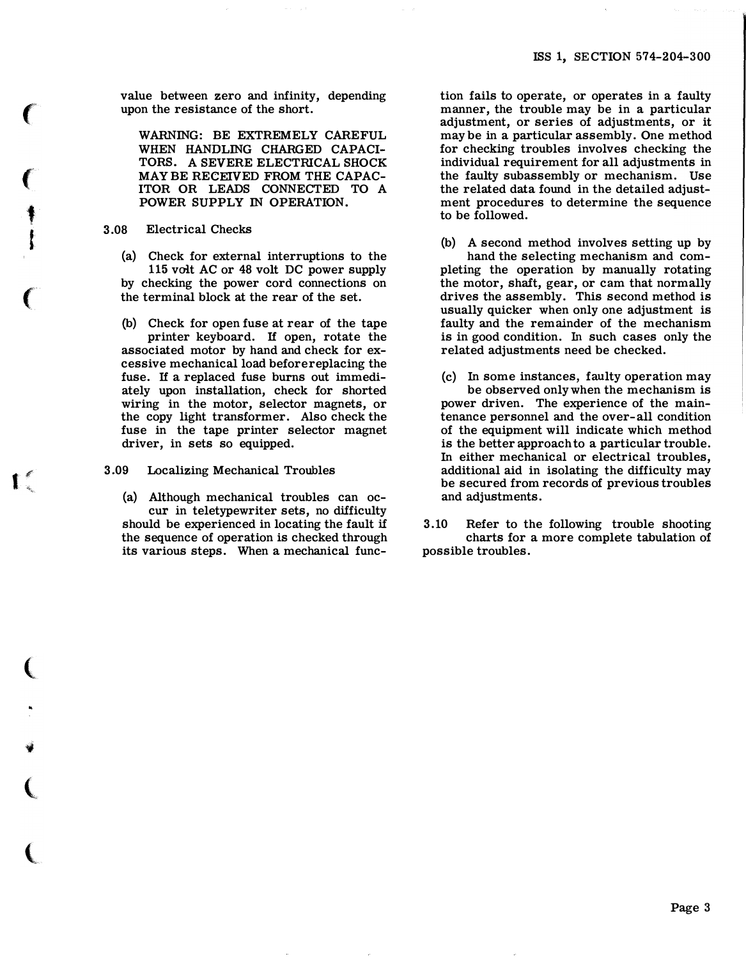value between zero and infinity, depending upon the resistance of the short.

WARNING: BE EXTREMELY CAREFUL WHEN HANDLING CHARGED CAPACI-TORS. A SEVERE ELECTRlCAL SHOCK MAYBE RECEIVED FROM THE CAPAC-ITOR OR LEADS CONNECTED TO A POWER SUPPLY IN OPERATION.

# 3 .08 Electrical Checks

(a) Check for external interruptions to the 115 volt AC or 48 volt DC power supply by checking the power cord connections on the terminal block at the rear of the set.

{b) Check for open fuse at rear of the tape printer keyboard. If open, rotate the associated motor by hand and check for excessive mechanical load before replacing the fuse. If a replaced fuse burns out immediately upon installation, check for shorted wiring in the motor, selector magnets, or the copy light transformer. Also check the fuse in the tape printer selector magnet driver, in sets so equipped.

3.09 Localizing Mechanical Troubles

I

(

"'

.,

(

 $\overline{\mathbb{C}}$ 

 $\big($ 

f

1

l

 $\big($ 

(a) Although mechanical troubles can occur in teletypewriter sets, no difficulty should be experienced in locating the fault if the sequence of operation is checked through its various steps. When a mechanical func-

tion fails to operate, or operates in a faulty manner, the trouble may be in a particular adjustment, or series of adjustments, or it may be in a particular assembly. One method for checking troubles involves checking the individual requirement for all adjustments in the faulty subassembly or mechanism. Use the related data found in the detailed adjustment procedures to determine the sequence to be followed.

- (b) A second method involves setting up by hand the selecting mechanism and completing the operation by manually rotating the motor, shaft, gear, or cam that normally drives the assembly. This second method is usually quicker when only one adjustment is faulty and the remainder of the mechanism is in good condition. In such cases only the related adjustments need be checked.
- (c) In some instances, faulty operation may be observed only when the mechanism is power driven. The experience of the maintenance personnel and the over-all condition of the equipment will indicate which method is the better approach to a particular trouble. In either mechanical or electrical troubles, additional aid in isolating the difficulty may be secured from records of previous troubles and adjustments.
- 3 .10 Refer to the following trouble shooting charts for a more complete tabulation of possible troubles.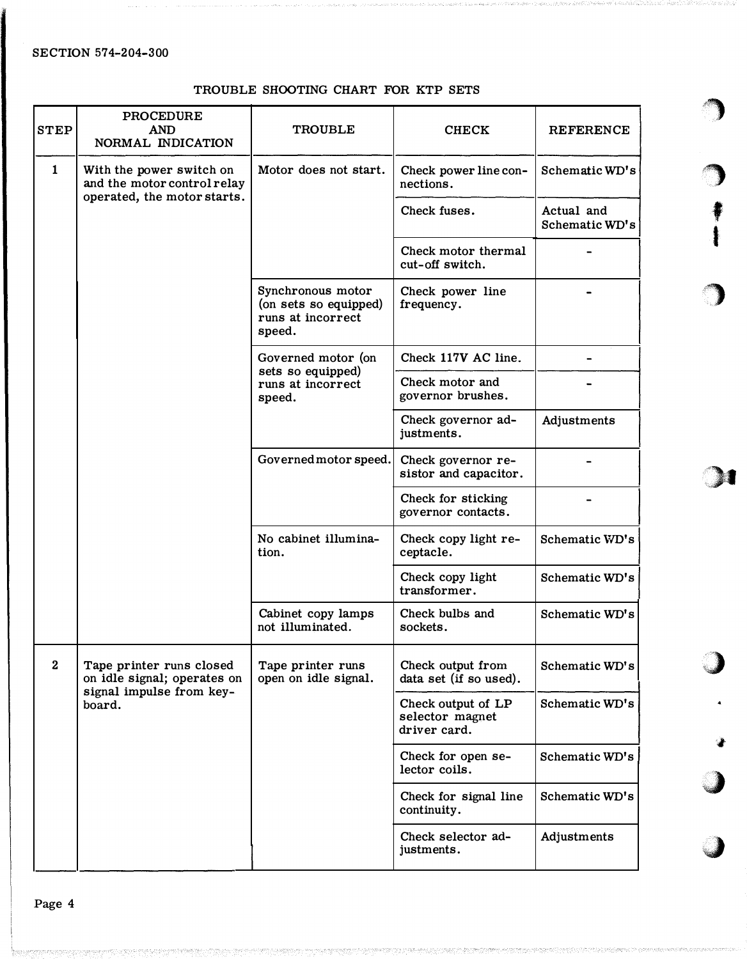# TROUBLE SHOOTING CHART FOR KTP SETS

 $\bigcirc$ 

 $\blacktriangleright$ 

f

I

,,

 $\blacksquare$ 

''  $\,$ 

:#

·�

**WESTERN** 1

| <b>STEP</b>  | <b>PROCEDURE</b><br><b>AND</b><br>NORMAL INDICATION                                           | <b>TROUBLE</b>                                                            | <b>CHECK</b>                                          | <b>REFERENCE</b>             |
|--------------|-----------------------------------------------------------------------------------------------|---------------------------------------------------------------------------|-------------------------------------------------------|------------------------------|
| $\mathbf{1}$ | With the power switch on<br>and the motor control relay                                       | Motor does not start.                                                     | Check power line con-<br>nections.                    | Schematic WD's               |
|              | operated, the motor starts.                                                                   |                                                                           | Check fuses.                                          | Actual and<br>Schematic WD's |
|              |                                                                                               |                                                                           | Check motor thermal<br>cut-off switch.                |                              |
|              |                                                                                               | Synchronous motor<br>(on sets so equipped)<br>runs at incorrect<br>speed. | Check power line<br>frequency.                        |                              |
|              |                                                                                               | Governed motor (on<br>sets so equipped)<br>runs at incorrect<br>speed.    | Check 117V AC line.                                   |                              |
|              |                                                                                               |                                                                           | Check motor and<br>governor brushes.                  |                              |
|              |                                                                                               |                                                                           | Check governor ad-<br>justments.                      | Adjustments                  |
|              |                                                                                               | Governed motor speed.                                                     | Check governor re-<br>sistor and capacitor.           |                              |
|              |                                                                                               |                                                                           | Check for sticking<br>governor contacts.              |                              |
|              |                                                                                               | No cabinet illumina-<br>tion.                                             | Check copy light re-<br>ceptacle.                     | Schematic WD's               |
|              |                                                                                               |                                                                           | Check copy light<br>transformer.                      | Schematic WD's               |
|              |                                                                                               | Cabinet copy lamps<br>not illuminated.                                    | Check bulbs and<br>sockets.                           | Schematic WD's               |
| $\mathbf{2}$ | Tape printer runs closed<br>on idle signal; operates on<br>signal impulse from key-<br>board. | Tape printer runs<br>open on idle signal.                                 | Check output from<br>data set (if so used).           | Schematic WD's               |
|              |                                                                                               |                                                                           | Check output of LP<br>selector magnet<br>driver card. | Schematic WD's               |
|              |                                                                                               |                                                                           | Check for open se-<br>lector coils.                   | Schematic WD's               |
|              |                                                                                               |                                                                           | Check for signal line<br>continuity.                  | Schematic WD's               |
|              |                                                                                               |                                                                           | Check selector ad-<br>justments.                      | Adjustments                  |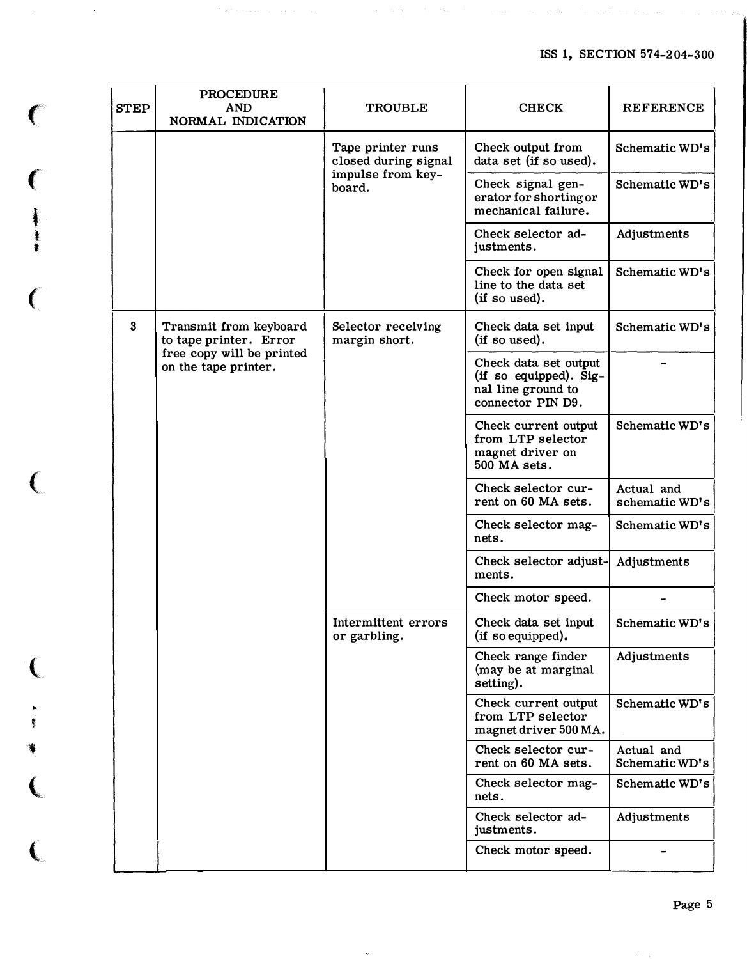$\gamma_{\rm eff} \rightarrow 2.8$  ,  $\gamma_{\rm eff}$ 

| <b>STEP</b> | <b>PROCEDURE</b><br><b>AND</b><br>NORMAL INDICATION                                                   | <b>TROUBLE</b>                                                           | <b>CHECK</b>                                                                               | <b>REFERENCE</b>             |
|-------------|-------------------------------------------------------------------------------------------------------|--------------------------------------------------------------------------|--------------------------------------------------------------------------------------------|------------------------------|
|             |                                                                                                       | Tape printer runs<br>closed during signal<br>impulse from key-<br>board. | Check output from<br>data set (if so used).                                                | Schematic WD's               |
|             |                                                                                                       |                                                                          | Check signal gen-<br>erator for shorting or<br>mechanical failure.                         | Schematic WD's               |
|             |                                                                                                       |                                                                          | Check selector ad-<br>justments.                                                           | Adjustments                  |
|             |                                                                                                       |                                                                          | Check for open signal<br>line to the data set<br>(if so used).                             | Schematic WD's               |
| $\bf{3}$    | Transmit from keyboard<br>to tape printer. Error<br>free copy will be printed<br>on the tape printer. | Selector receiving<br>margin short.                                      | Check data set input<br>(if so used).                                                      | Schematic WD's               |
|             |                                                                                                       |                                                                          | Check data set output<br>(if so equipped). Sig-<br>nal line ground to<br>connector PIN D9. |                              |
|             |                                                                                                       |                                                                          | Check current output<br>from LTP selector<br>magnet driver on<br>500 MA sets.              | Schematic WD's               |
|             |                                                                                                       |                                                                          | Check selector cur-<br>rent on 60 MA sets.                                                 | Actual and<br>schematic WD's |
|             |                                                                                                       |                                                                          | Check selector mag-<br>nets.                                                               | Schematic WD's               |
|             |                                                                                                       |                                                                          | Check selector adjust-<br>ments.                                                           | Adjustments                  |
|             |                                                                                                       |                                                                          | Check motor speed.                                                                         |                              |
|             |                                                                                                       | Intermittent errors<br>or garbling.                                      | Check data set input<br>(if so equipped).                                                  | Schematic WD's               |
|             |                                                                                                       |                                                                          | Check range finder<br>(may be at marginal<br>setting).                                     | Adjustments                  |
|             |                                                                                                       |                                                                          | Check current output<br>from LTP selector<br>magnet driver 500 MA.                         | Schematic WD's               |
|             |                                                                                                       |                                                                          | Check selector cur-<br>rent on 60 MA sets.                                                 | Actual and<br>Schematic WD's |
|             |                                                                                                       |                                                                          | Check selector mag-<br>nets.                                                               | Schematic WD's               |
|             |                                                                                                       |                                                                          | Check selector ad-<br>justments.                                                           | Adjustments                  |
|             |                                                                                                       |                                                                          | Check motor speed.                                                                         |                              |

 $\big($ 

 $\alpha_{\rm c}$ 

 $\sqrt{2}$ 

t t t

 $\overline{C}$ 

 $\left($ 

(

.. '

•

 $\overline{\mathbf{C}}$ 

 $\overline{\mathbf{C}}$